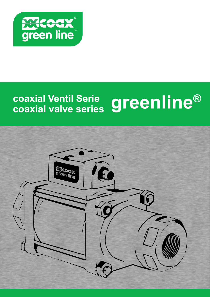

# **coaxial Ventil Serie greenline®**<br>coaxial valve series greenline®

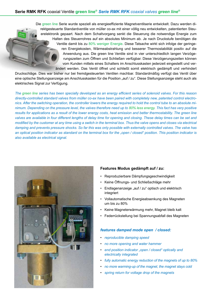Die green line Serie wurde speziell als energieeffiziente Magnetventilserie entwickelt. Dazu werden direktgesteuerte Standardventile von müller co-ax mit einer völlig neu entwickelten, patentierten Steuerelektronik gepaart. Nach dem Schaltvorgang senkt die Steuerung die notwendige Energie zum Halten des Steuerrohres auf ein absolutes Minimum ab. Je nach Druckstufe benötigen die Ventile damit bis zu 80% weniger Energie. Diese Tatsache wirkt sich infolge der geringeren Energiekosten, Wärmeabstrahlung und besserer Thermostabilität positiv auf die Anwendung aus. Die green line Ventile sind in vier unterschiedlich langen Verzögerungszeiten zum Öffnen und Schließen verfügbar. Diese Verzögerungszeiten können vom Kunden mittels eines Schalters im Anschlusskasten jederzeit eingestellt und verändert werden. Das Ventil öffnet und schließt somit elektrisch gedämpft und verhindert

Druckschläge. Dies war bisher nur bei fremdgesteuerten Ventilen machbar. Standardmäßig verfügt das Ventil über eine optische Stellungsanzeige am Anschlusskasten für die Position "auf / zu". Diese Stellungsanzeige steht auch als elektrisches Signal zur Verfügung.

*The green line series has been specially developed as an energy efficient series of solenoid valves. For this reason directly-controlled standard valves from müller co-ax have been paired with completely new, patented control electronics. After the switching operation, the controller lowers the energy required to hold the control tube to an absolute minimum. Depending on the pressure level, the valves therefore need up to 80% less energy. This fact has very positive results for applications as a result of the lower energy costs, heat emission and better thermostability. The green line valves are available in four different lengths of delay time for opening and closing. These delay times can be set and modified by the customer at any time using a switch in the terminal box. Thus the valve opens and closes via electrical damping and prevents pressure shocks. So far this was only possible with externally controlled valves. The valve has an optical position indicator as standard on the terminal box for the "open / closed" position. This position indicator is also available as electrical signal.* 



### **Features Modus gedämpft auf / zu:**

- Reproduzierbare Dämpfungsgeschwindigkeit
- Keine Öffnungs- und Schließschläge mehr
- Endlagenanzeige "auf / zu" optisch und elektrisch integriert
- Vollautomatische Energieabsenkung des Magneten um bis zu 80%
- Keine Magneterwärmung mehr, Magnet bleib kalt
- Federrückstellung bei Spannungsabfall des Magneten

### *features damped mode open / closed:*

- *reproducible damping speed*
- *no more opening and water hammer*
- *end position indicator "open / closed" optically and electrically integrated*
- *fully automatic energy reduction of the magnets of up to 80%*
- *no more warming-up of the magnet, the magnet stays cold*
- *spring return for voltage drop of the magnets*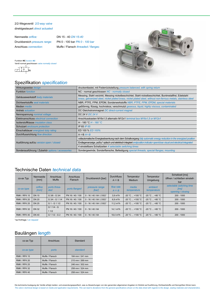### 2/2-Wegeventil *2/2-way valve* direktgesteuert *direct actuated*

Nennweite *orifice:* DN 15 - 40 *DN 15-40* Druckbereich *pressure range:* PN 0 - 100 bar *PN 0 - 100 bar*

Anschluss *connection:* Muffe / Flansch *threaded / flanged*



Funktion **NC** *function NC*

Ventil normal geschlossen *valve normally closed* B



# Spezifikation *specification*

| Wirkungsweise design                             | druckentlastet, mit Federrückstellung pressure balanced, with spring return                                                                                                                                              |  |  |  |
|--------------------------------------------------|--------------------------------------------------------------------------------------------------------------------------------------------------------------------------------------------------------------------------|--|--|--|
| <b>Funktion function</b>                         | NC - normal geschlossen NC - normally closed                                                                                                                                                                             |  |  |  |
| Gehäusewerkstoff body materials                  | Messing, Stahl verzinkt, Messing nickelbeschichtet, Stahl nickelbeschichtet, Buntmetallfrei, Edelstahl<br>brass, galvanized steel, nickel plated brass, nickel plated steel, without non-ferrous metals, stainless steel |  |  |  |
| Dichtwerkstoffe seal materials                   | NBR, PTFE, FPM, EPDM, Sonderwerkstoffe NBR, PTFE, FPM, EPDM, special materials                                                                                                                                           |  |  |  |
| Medien <i>media</i>                              | gaßförmig, flüssig, hochviskos, verschmutzt gaseous, liquid, highly viscous, contaminated                                                                                                                                |  |  |  |
| Antrieb <i>actuation</i>                         | DC Gleichstrommagnet DC direct-current magnet                                                                                                                                                                            |  |  |  |
| Nennspannung nominal voltage                     | DC 24 V DC 24 V                                                                                                                                                                                                          |  |  |  |
| Elektroanschluss electrical connection           | Anschlusskasten M16x1,5 alternativ M12x1 terminal box M16x1,5 or M12x1                                                                                                                                                   |  |  |  |
| Isolierstoffklasse insulation class              | H - 180 °C H - 180 °C                                                                                                                                                                                                    |  |  |  |
| Schutzart enclosure protection                   | IP 65 IP 65                                                                                                                                                                                                              |  |  |  |
| Einschaltdauer energized duty rating             | ED 100 % ED 100%                                                                                                                                                                                                         |  |  |  |
| Durchflussrichtung flow direction                | $A \Rightarrow B A \Rightarrow B$                                                                                                                                                                                        |  |  |  |
|                                                  | vollautomatische Energieabsenkung nach dem Schaltvorgang fully automatic energy reduction in the energized position                                                                                                      |  |  |  |
| Ausführung auf/zu version open / closed          | Endlagenanzeige "auf/zu" optisch und elektrisch integriert endposition indicator open/close visual and electrical integrated                                                                                             |  |  |  |
|                                                  | 4 einstellbare Schaltzeiten 4 selectable switching times                                                                                                                                                                 |  |  |  |
| Sonderausführung / Zubehör options / accessories | Sondergewinde, Sonderflansche, Befestigung special threads, special flanges, mounting                                                                                                                                    |  |  |  |

# Technische Daten *technical data*

| co-ax Typ           | Nennweite<br>[mm] | <b>Anschluss</b><br>Muffe | Anschluss<br>Flansch | Druckbereich [bar]           | <b>Durchfluss</b><br>$A \Rightarrow B$ | Temperatur<br>Medium | Temperatur<br><b>Umgebung</b> | Schaltzeit [ms]<br>öffnen / schließen einstell-<br>bar |
|---------------------|-------------------|---------------------------|----------------------|------------------------------|----------------------------------------|----------------------|-------------------------------|--------------------------------------------------------|
| co-ax type          | orifice<br>[mm]   | ports threa-<br>ded       | ports flanged        | pressure range<br>[bar]      | flow rate<br>$A \Rightarrow B$         | media<br>temperature | ambient<br>temperature        | selectable switching time<br>[ms]<br>opening / closing |
| <b>RMK / RFK 15</b> | <b>DN 15</b>      | G 3/8 - G 3/4             | PN 16 / 40 / 100     | $0 - 16 / 40 / 64 / (100)^*$ | $3.9 \text{ m}^3/h$                    | $-20 °C  +100 °C$    | $-20 °C = +80 °C$             | $200 - 1000$                                           |
| RMK / RFK 20        | <b>DN 20</b>      | G 3/4 - G 1 1/4           | PN 16 / 40 / 100     | $0 - 16 / 40 / 64 / (100)^*$ | $6.9 \text{ m}^3/h$                    | $-20 °C  +100 °C$    | $-20 °C$ +80 °C               | $200 - 1000$                                           |
| <b>RMK / RFK 25</b> | <b>DN 25</b>      | G 1 - G 1 1/2             | PN 16 / 40 / 100     | $0 - 16 / 40 / 64 / (100)^*$ | $11.2 \text{ m}^3/h$                   | $-20 °C  +100 °C$    | $-20 °C = +80 °C$             | $200 - 1000$                                           |
| RMK / RFK 32        | <b>DN 32</b>      | $G$ 1 1/4 - $G$<br>11/2   | PN 16/40/100         | $0 - 16 / 40 / 64$           | $14.1 \text{ m}^3/h$                   | $-20 °C  +100 °C$    | $-20 °C = +80 °C$             | $200 - 1000$                                           |
| RMK / RFK 40        | <b>DN 40</b>      | G 1 1/2 - G 2             | PN 16 / 40 / 100     | $0 - 16 / 40 / 64$           | $18.4 \text{ m}^3/h$                   | $-20 °C  +100 °C$    | $-20 °C  +80 °C$              | $200 - 1000$                                           |

\*auf Anfrage / *on request*

# Baulängen *length*

| co-ax Typ           | Anschluss       | Standard        |
|---------------------|-----------------|-----------------|
| co-ax type          | ports           | standard        |
| <b>RMK / RFK 15</b> | Muffe / Flansch | 184 mm / 241 mm |
| <b>RMK / RFK 20</b> | Muffe / Flansch | 215 mm / 269 mm |
| <b>RMK / RFK 25</b> | Muffe / Flansch | 246 mm / 302 mm |
| <b>RMK / RFK 32</b> | Muffe / Flansch | 258 mm / 324 mm |
| <b>RMK / RFK 40</b> | Muffe / Flansch | 258 mm / 324 mm |